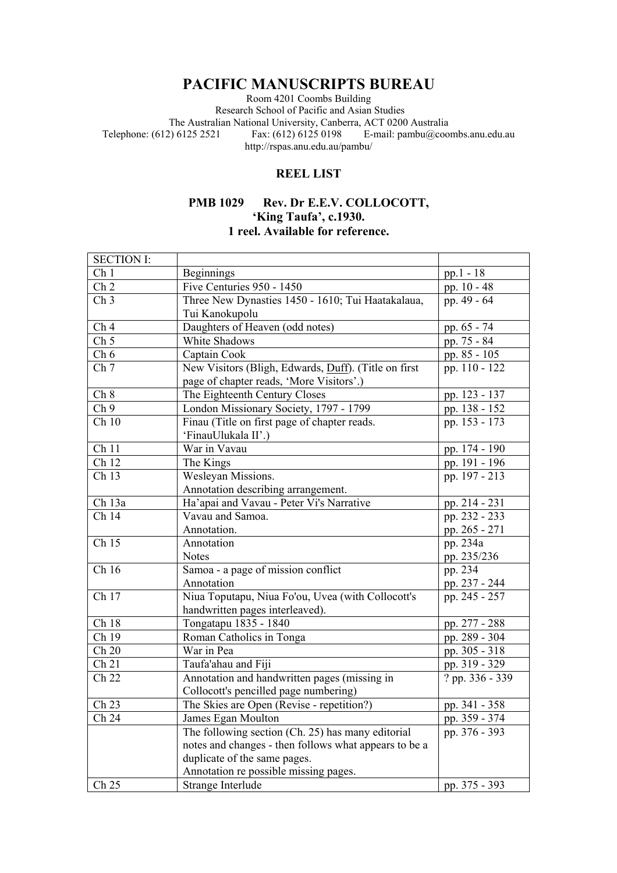## **PACIFIC MANUSCRIPTS BUREAU**

Room 4201 Coombs Building Research School of Pacific and Asian Studies The Australian National University, Canberra, ACT 0200 Australia<br>Telephone: (612) 6125 2521 Fax: (612) 6125 0198 E-mail: pambu@coo E-mail:  $pambu@combs. anu.edu.au$ http://rspas.anu.edu.au/pambu/

## **REEL LIST**

## **PMB 1029 Rev. Dr E.E.V. COLLOCOTT, 'King Taufa', c.1930. 1 reel. Available for reference.**

| <b>SECTION I:</b>  |                                                       |                 |
|--------------------|-------------------------------------------------------|-----------------|
| Ch <sub>1</sub>    | <b>Beginnings</b>                                     | $pp.1 - 18$     |
| Ch <sub>2</sub>    | Five Centuries 950 - 1450                             | pp. 10 - 48     |
| Ch <sub>3</sub>    | Three New Dynasties 1450 - 1610; Tui Haatakalaua,     | pp. 49 - 64     |
|                    | Tui Kanokupolu                                        |                 |
| Ch <sub>4</sub>    | Daughters of Heaven (odd notes)                       | pp. $65 - 74$   |
| Ch <sub>5</sub>    | White Shadows                                         | pp. 75 - 84     |
| Ch 6               | Captain Cook                                          | pp. 85 - 105    |
| Ch 7               | New Visitors (Bligh, Edwards, Duff). (Title on first  | pp. 110 - 122   |
|                    | page of chapter reads, 'More Visitors'.)              |                 |
| Ch 8               | The Eighteenth Century Closes                         | pp. 123 - 137   |
| Ch 9               | London Missionary Society, 1797 - 1799                | pp. 138 - 152   |
| Ch10               | Finau (Title on first page of chapter reads.          | pp. $153 - 173$ |
|                    | 'FinauUlukala II'.)                                   |                 |
| Ch 11              | War in Vavau                                          | pp. 174 - 190   |
| Ch 12              | The Kings                                             | pp. 191 - 196   |
| Ch 13              | Wesleyan Missions.                                    | pp. 197 - 213   |
|                    | Annotation describing arrangement.                    |                 |
| Ch 13a             | Ha'apai and Vavau - Peter Vi's Narrative              | pp. 214 - 231   |
| $\overline{Ch}$ 14 | Vavau and Samoa.                                      | pp. 232 - 233   |
|                    | Annotation.                                           | pp. 265 - 271   |
| Ch 15              | Annotation                                            | pp. 234a        |
|                    | <b>Notes</b>                                          | pp. 235/236     |
| Ch 16              | Samoa - a page of mission conflict                    | pp. 234         |
|                    | Annotation                                            | pp. 237 - 244   |
| Ch 17              | Niua Toputapu, Niua Fo'ou, Uvea (with Collocott's     | pp. 245 - 257   |
|                    | handwritten pages interleaved).                       |                 |
| Ch 18              | Tongatapu 1835 - 1840                                 | pp. 277 - 288   |
| Ch 19              | Roman Catholics in Tonga                              | pp. 289 - 304   |
| Ch 20              | War in Pea                                            | pp. 305 - 318   |
| Ch 21              | Taufa'ahau and Fiji                                   | pp. 319 - 329   |
| Ch 22              | Annotation and handwritten pages (missing in          | ? pp. 336 - 339 |
|                    | Collocott's pencilled page numbering)                 |                 |
| Ch 23              | The Skies are Open (Revise - repetition?)             | pp. 341 - 358   |
| Ch 24              | James Egan Moulton                                    | pp. 359 - 374   |
|                    | The following section (Ch. 25) has many editorial     | pp. 376 - 393   |
|                    | notes and changes - then follows what appears to be a |                 |
|                    | duplicate of the same pages.                          |                 |
|                    | Annotation re possible missing pages.                 |                 |
| $Ch$ 25            | Strange Interlude                                     | pp. 375 - 393   |